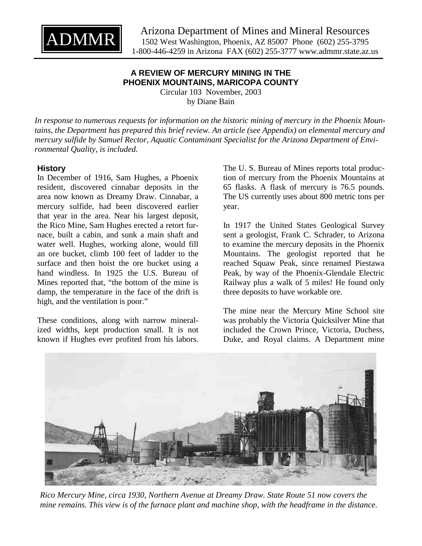

## **A REVIEW OF MERCURY MINING IN THE PHOENIX MOUNTAINS, MARICOPA COUNTY**

Circular 103 November, 2003 by Diane Bain

*In response to numerous requests for information on the historic mining of mercury in the Phoenix Mountains, the Department has prepared this brief review. An article (see Appendix) on elemental mercury and mercury sulfide by Samuel Rector, Aquatic Contaminant Specialist for the Arizona Department of Environmental Quality, is included.* 

### **History**

In December of 1916, Sam Hughes, a Phoenix resident, discovered cinnabar deposits in the area now known as Dreamy Draw. Cinnabar, a mercury sulfide, had been discovered earlier that year in the area. Near his largest deposit, the Rico Mine, Sam Hughes erected a retort furnace, built a cabin, and sunk a main shaft and water well. Hughes, working alone, would fill an ore bucket, climb 100 feet of ladder to the surface and then hoist the ore bucket using a hand windless. In 1925 the U.S. Bureau of Mines reported that, "the bottom of the mine is damp, the temperature in the face of the drift is high, and the ventilation is poor."

These conditions, along with narrow mineralized widths, kept production small. It is not known if Hughes ever profited from his labors. The U. S. Bureau of Mines reports total production of mercury from the Phoenix Mountains at 65 flasks. A flask of mercury is 76.5 pounds. The US currently uses about 800 metric tons per year.

In 1917 the United States Geological Survey sent a geologist, Frank C. Schrader, to Arizona to examine the mercury deposits in the Phoenix Mountains. The geologist reported that he reached Squaw Peak, since renamed Piestawa Peak, by way of the Phoenix-Glendale Electric Railway plus a walk of 5 miles! He found only three deposits to have workable ore.

The mine near the Mercury Mine School site was probably the Victoria Quicksilver Mine that included the Crown Prince, Victoria, Duchess, Duke, and Royal claims. A Department mine



*Rico Mercury Mine, circa 1930, Northern Avenue at Dreamy Draw. State Route 51 now covers the mine remains. This view is of the furnace plant and machine shop, with the headframe in the distance.*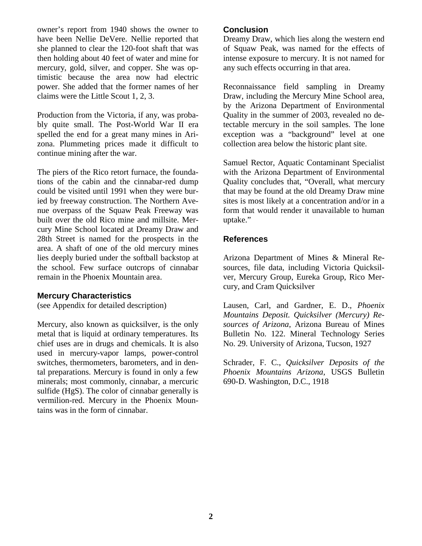owner's report from 1940 shows the owner to have been Nellie DeVere. Nellie reported that she planned to clear the 120-foot shaft that was then holding about 40 feet of water and mine for mercury, gold, silver, and copper. She was optimistic because the area now had electric power. She added that the former names of her claims were the Little Scout 1, 2, 3.

Production from the Victoria, if any, was probably quite small. The Post-World War II era spelled the end for a great many mines in Arizona. Plummeting prices made it difficult to continue mining after the war.

The piers of the Rico retort furnace, the foundations of the cabin and the cinnabar-red dump could be visited until 1991 when they were buried by freeway construction. The Northern Avenue overpass of the Squaw Peak Freeway was built over the old Rico mine and millsite. Mercury Mine School located at Dreamy Draw and 28th Street is named for the prospects in the area. A shaft of one of the old mercury mines lies deeply buried under the softball backstop at the school. Few surface outcrops of cinnabar remain in the Phoenix Mountain area.

#### **Mercury Characteristics**

(see Appendix for detailed description)

Mercury, also known as quicksilver, is the only metal that is liquid at ordinary temperatures. Its chief uses are in drugs and chemicals. It is also used in mercury-vapor lamps, power-control switches, thermometers, barometers, and in dental preparations. Mercury is found in only a few minerals; most commonly, cinnabar, a mercuric sulfide (HgS). The color of cinnabar generally is vermilion-red. Mercury in the Phoenix Mountains was in the form of cinnabar.

#### **Conclusion**

Dreamy Draw, which lies along the western end of Squaw Peak, was named for the effects of intense exposure to mercury. It is not named for any such effects occurring in that area.

Reconnaissance field sampling in Dreamy Draw, including the Mercury Mine School area, by the Arizona Department of Environmental Quality in the summer of 2003, revealed no detectable mercury in the soil samples. The lone exception was a "background" level at one collection area below the historic plant site.

Samuel Rector, Aquatic Contaminant Specialist with the Arizona Department of Environmental Quality concludes that, "Overall, what mercury that may be found at the old Dreamy Draw mine sites is most likely at a concentration and/or in a form that would render it unavailable to human uptake."

### **References**

Arizona Department of Mines & Mineral Resources, file data, including Victoria Quicksilver, Mercury Group, Eureka Group, Rico Mercury, and Cram Quicksilver

Lausen, Carl, and Gardner, E. D., *Phoenix Mountains Deposit. Quicksilver (Mercury) Resources of Arizona*, Arizona Bureau of Mines Bulletin No. 122. Mineral Technology Series No. 29. University of Arizona, Tucson, 1927

Schrader, F. C., *Quicksilver Deposits of the Phoenix Mountains Arizona*, USGS Bulletin 690-D. Washington, D.C., 1918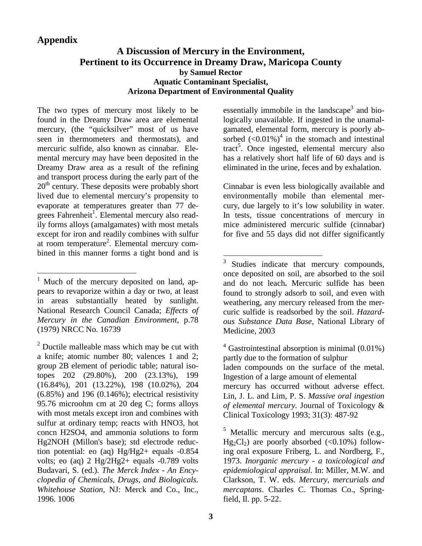## **Appendix**

 $\overline{a}$ 

# **A Discussion of Mercury in the Environment, Pertinent to its Occurrence in Dreamy Draw, Maricopa County by Samuel Rector Aquatic Contaminant Specialist, Arizona Department of Environmental Quality**

The two types of mercury most likely to be found in the Dreamy Draw area are elemental mercury, (the "quicksilver" most of us have seen in thermometers and thermostats), and mercuric sulfide, also known as cinnabar. Elemental mercury may have been deposited in the Dreamy Draw area as a result of the refining and transport process during the early part of the  $20<sup>th</sup>$  century. These deposits were probably short lived due to elemental mercury's propensity to evaporate at temperatures greater than 77 degrees Fahrenheit<sup>1</sup>. Elemental mercury also readily forms alloys (amalgamates) with most metals except for iron and readily combines with sulfur at room temperature<sup>2</sup>. Elemental mercury combined in this manner forms a tight bond and is

essentially immobile in the landscape<sup>3</sup> and biologically unavailable. If ingested in the unamalgamated, elemental form, mercury is poorly absorbed  $(<0.01\%)^4$  in the stomach and intestinal tract<sup>5</sup>. Once ingested, elemental mercury also has a relatively short half life of 60 days and is eliminated in the urine, feces and by exhalation.

Cinnabar is even less biologically available and environmentally mobile than elemental mercury, due largely to it's low solubility in water. In tests, tissue concentrations of mercury in mice administered mercuric sulfide (cinnabar) for five and 55 days did not differ significantly

 $4$  Gastrointestinal absorption is minimal (0.01%) partly due to the formation of sulphur laden compounds on the surface of the metal. Ingestion of a large amount of elemental mercury has occurred without adverse effect. Lin, J. L. and Lim, P. S. *Massive oral ingestion of elemental mercury.* Journal of Toxicology & Clinical Toxicology 1993; 31(3): 487-92

<sup>5</sup> Metallic mercury and mercurous salts (e.g.,  $Hg_2Cl_2$ ) are poorly absorbed (<0.10%) following oral exposure Friberg, L. and Nordberg, F., 1973. *Inorganic mercury - a toxicological and epidemiological appraisal*. In: Miller, M.W. and Clarkson, T. W. eds. *Mercury, mercurials and mercaptans*. Charles C. Thomas Co., Springfield, Il. pp. 5-22.

<sup>&</sup>lt;sup>1</sup> Much of the mercury deposited on land, appears to revaporize within a day or two, at least in areas substantially heated by sunlight. National Research Council Canada; *Effects of Mercury in the Canadian Environment,* p.78 (1979) NRCC No. 16739

 $2^{2}$  Ductile malleable mass which may be cut with a knife; atomic number 80; valences 1 and 2; group 2B element of periodic table; natural isotopes 202 (29.80%), 200 (23.13%), 199 (16.84%), 201 (13.22%), 198 (10.02%), 204 (6.85%) and 196 (0.146%); electrical resistivity 95.76 microohm cm at 20 deg C; forms alloys with most metals except iron and combines with sulfur at ordinary temp; reacts with HNO3, hot concn H2SO4, and ammonia solutions to form Hg2NOH (Millon's base); std electrode reduction potential: eo (aq) Hg/Hg2+ equals -0.854 volts; eo (aq) 2 Hg/2Hg2+ equals -0.789 volts Budavari, S. (ed.). *The Merck Index - An Encyclopedia of Chemicals, Drugs, and Biologicals. Whitehouse Station*, NJ: Merck and Co., Inc., 1996. 1006

 $\frac{1}{3}$  Studies indicate that mercury compounds, once deposited on soil, are absorbed to the soil and do not leach**.** Mercuric sulfide has been found to strongly adsorb to soil, and even with weathering, any mercury released from the mercuric sulfide is readsorbed by the soil. *Hazardous Substance Data Base*, National Library of Medicine, 2003